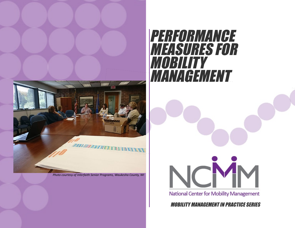

*Photo courtesy of Interfaith Senior Programs, Waukesha County, WI*

# PERFORMANCE MEASURES FOR MOBILITY MANAGEMENT



National Center for Mobility Management

MOBILITY MANAGEMENT IN PRACTICE SERIES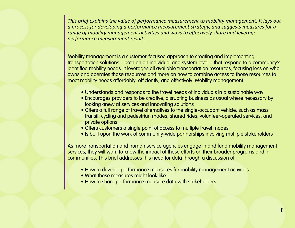*This brief explains the value of performance measurement to mobility management. It lays out a process for developing a performance measurement strategy, and suggests measures for a range of mobility management activities and ways to effectively share and leverage performance measurement results.* 

Mobility management is a customer-focused approach to creating and implementing transportation solutions—both on an individual and system level—that respond to a community's identified mobility needs. It leverages all available transportation resources, focusing less on who owns and operates those resources and more on how to combine access to those resources to meet mobility needs affordably, efficiently, and effectively. Mobility management

- Understands and responds to the travel needs of individuals in a sustainable way
- Encourages providers to be creative, disrupting business as usual where necessary by looking anew at services and innovating solutions
- Offers a full range of travel alternatives to the single-occupant vehicle, such as mass transit, cycling and pedestrian modes, shared rides, volunteer-operated services, and private options
- Offers customers a single point of access to multiple travel modes
- Is built upon the work of community-wide partnerships involving multiple stakeholders

As more transportation and human service agencies engage in and fund mobility management services, they will want to know the impact of these efforts on their broader programs and in communities. This brief addresses this need for data through a discussion of

- How to develop performance measures for mobility management activities
- What those measures might look like
- How to share performance measure data with stakeholders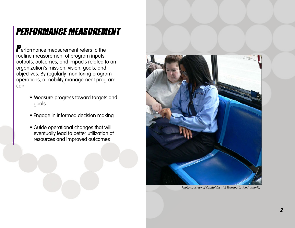# PERFORMANCE MEASUREMENT

**P**erformance measurement refers to the routine measurement of program inputs, outputs, outcomes, and impacts related to an organization's mission, vision, goals, and objectives. By regularly monitoring program operations, a mobility management program can

- Measure progress toward targets and goals
- Engage in informed decision making
- Guide operational changes that will eventually lead to better utilization of resources and improved outcomes



*Photo courtesy of Capital District Transportation Authority*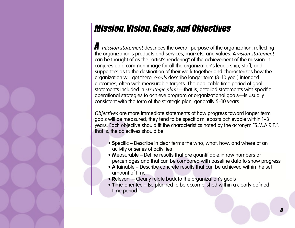### Mission, Vision, Goals, and Objectives

A *mission statement* describes the overall purpose of the organization, reflecting the organization's products and services, markets, and values. A *vision statement*  can be thought of as the "artist's rendering" of the achievement of the mission. It conjures up a common image for all the organization's leadership, staff, and supporters as to the destination of their work together and characterizes how the organization will get there. *Goals* describe longer term (3–10 year) intended outcomes, often with measurable targets. The applicable time period of goal statements included in *strategic plans*—that is, detailed statements with specific operational strategies to achieve program or organizational goals—is usually consistent with the term of the strategic plan, generally 5–10 years.

*Objectives* are more immediate statements of how progress toward longer term goals will be measured; they tend to be specific mileposts achievable within 1–3 years. Each objective should fit the characteristics noted by the acronym "S.M.A.R.T.": that is, the objectives should be

- **S**pecific Describe in clear terms the who, what, how, and where of an activity or series of activities
- **M**easurable Define results that are quantifiable in raw numbers or percentages and that can be compared with baseline data to show progress
- **A**ttainable Describe concrete results that can be achieved within the set amount of time
- **R**elevant Clearly relate back to the organization's goals
- **T**ime-oriented Be planned to be accomplished within a clearly defined time period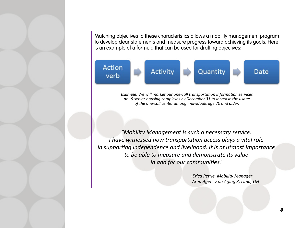Matching objectives to these characteristics allows a mobility management program to develop clear statements and measure progress toward achieving its goals. Here is an example of a formula that can be used for drafting objectives:



*Example: We will market our one-call transportation information services at 15 senior housing complexes by December 31 to increase the usage of the one-call center among individuals age 70 and older.*

*"Mobility Management is such a necessary service. I have witnessed how transportation access plays a vital role in supporting independence and livelihood. It is of utmost importance to be able to measure and demonstrate its value in and for our communities."* 

> *-Erica Petrie, Mobility Manager Area Agency on Aging 3, Lima, OH*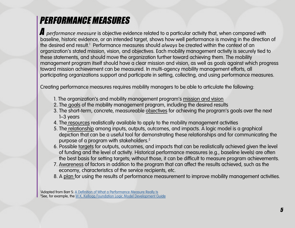## PERFORMANCE MEASURES

A *performance measure* is objective evidence related to a particular activity that, when compared with baseline, historic evidence, or an intended target, shows how well performance is moving in the direction of the desired end result.<sup>1</sup> Performance measures should *always* be created within the context of an organization's stated mission, vision, and objectives. Each mobility management activity is securely tied to these statements, and should move the organization further toward achieving them. The mobility management program itself should have a clear mission and vision, as well as goals against which progress toward mission achievement can be measured. In multi-agency mobility management efforts, all participating organizations support and participate in setting, collecting, and using performance measures.

Creating performance measures requires mobility managers to be able to articulate the following:

- 1. The organization's and mobility management program's mission and vision
- 2. The goals of the mobility management program, including the desired results
- 3. The short-term, concrete, measureable objectives for achieving the program's goals over the next 1–3 years
- 4. The resources realistically available to apply to the mobility management activities
- 5. The relationship among inputs, outputs, outcomes, and impacts. A logic model is a graphical depiction that can be a useful tool for demonstrating these relationships and for communicating the purpose of a program with stakeholders.<sup>2</sup>
- 6. Possible targets for outputs, outcomes, and impacts that can be realistically achieved given the level of funding and the level of activity. Historical performance measures (e.g., baseline levels) are often the best basis for setting targets; without those, it can be difficult to measure program achievements.
- 7. Awareness of factors in addition to the program that can affect the results achieved, such as the economy, characteristics of the service recipients, etc.
- 8. A plan for using the results of performance measurement to improve mobility management activities.

1 Adapted from Barr S: [A Definition of What a Performance Measure Really Is](http://staceybarr.com/measure-up/a-definition-of-what-a-performance-measure-really-is) <sup>2</sup>See, for example, the <u>[W.K. Kellogg Foundation Logic Model Development Guide](https://www.wkkf.org/resource-directory/resource/2006/02/wk-kellogg-foundation-logic-model-development-guide)</u>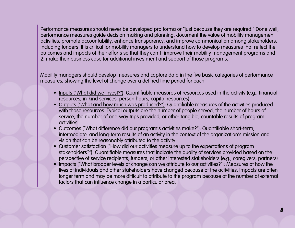Performance measures should never be developed pro forma or "just because they are required." Done well, performance measures guide decision making and planning, document the value of mobility management activities, promote accountability, enhance transparency, and improve communication among stakeholders, including funders. It is critical for mobility managers to understand how to develop measures that reflect the outcomes and impacts of their efforts so that they can 1) improve their mobility management programs and 2) make their business case for additional investment and support of those programs.

Mobility managers should develop measures and capture data in the five basic categories of performance measures, showing the level of change over a defined time period for each:

- Inputs ("What did we invest?"): Quantifiable measures of resources used in the activity (e.g., financial resources, in-kind services, person hours, capital resources)
- Outputs ("What and how much was produced?"): Quantifiable measures of the activities produced with those resources. Typical outputs are the number of people served, the number of hours of service, the number of one-way trips provided, or other tangible, countable results of program activities.
- Outcomes ("What difference did our program's activities make?"): Quantifiable short-term, intermediate, and long-term results of an activity in the context of the organization's mission and vision that can be reasonably attributed to the activity
- Customer satisfaction ("How did our activities measure up to the expectations of program stakeholders?"): Quantifiable measures that indicate the quality of services provided based on the perspective of service recipients, funders, or other interested stakeholders (e.g., caregivers, partners)
- Impacts ("What broader levels of change can we attribute to our activities?"): Measures of how the lives of individuals and other stakeholders have changed because of the activities. Impacts are often longer term and may be more difficult to attribute to the program because of the number of external factors that can influence change in a particular area.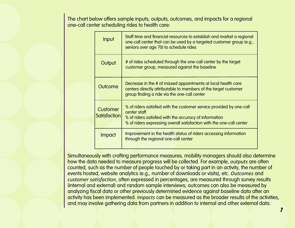The chart below offers sample inputs, outputs, outcomes, and impacts for a regional one-call center scheduling rides to health care:

| Input                           | Staff time and financial resources to establish and market a regional<br>one-call center that can be used by a targeted customer group (e.g.,<br>seniors over age 70) to schedule rides                                |  |
|---------------------------------|------------------------------------------------------------------------------------------------------------------------------------------------------------------------------------------------------------------------|--|
| Output                          | # of rides scheduled through the one-call center by the target<br>customer group, measured against the baseline                                                                                                        |  |
| Outcome                         | Decrease in the # of missed appointments at local health care<br>centers directly attributable to members of the target customer<br>group finding a ride via the one-call center                                       |  |
| <b>Customer</b><br>Satisfaction | % of riders satisfied with the customer service provided by one-call<br>center staff<br>% of riders satisfied with the accuracy of information<br>% of riders expressing overall satisfaction with the one-call center |  |
| <b>Impact</b>                   | Improvement in the health status of riders accessing information<br>through the regional one-call center                                                                                                               |  |

Simultaneously with crafting performance measures, mobility managers should also determine how the data needed to measure progress will be collected. For example, *outputs* are often counted, such as the number of people touched by or taking part in an activity, the number of events hosted, website analytics (e.g., number of downloads or visits), etc. *Outcomes* and *customer satisfaction*, often expressed in percentages, are measured through survey results (internal and external) and random sample interviews; outcomes can also be measured by analyzing fiscal data or other previously determined evidence against baseline data after an activity has been implemented. *Impacts* can be measured as the broader results of the activities, and may involve gathering data from partners in addition to internal and other external data.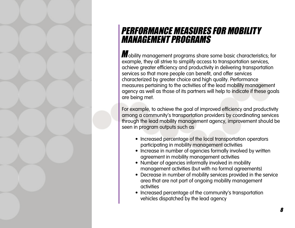

#### PERFORMANCE MEASURES FOR MOBILITY MANAGEMENT PROGRAMS

Mobility management programs share some basic characteristics; for example, they all strive to simplify access to transportation services, achieve greater efficiency and productivity in delivering transportation services so that more people can benefit, and offer services characterized by greater choice and high quality. Performance measures pertaining to the activities of the lead mobility management agency as well as those of its partners will help to indicate if these goals are being met.

For example, to achieve the goal of improved efficiency and productivity among a community's transportation providers by coordinating services through the lead mobility management agency, improvement should be seen in program outputs such as

- Increased percentage of the local transportation operators participating in mobility management activities
- Increase in number of agencies formally involved by written agreement in mobility management activities
- Number of agencies informally involved in mobility management activities (but with no formal agreements)
- Decrease in number of mobility services provided in the service area that are not part of ongoing mobility management activities
- Increased percentage of the community's transportation vehicles dispatched by the lead agency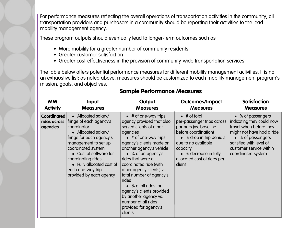For performance measures reflecting the overall operations of transportation activities in the community, all transportation providers and purchasers in a community should be reporting their activities to the lead mobility management agency.

These program outputs should eventually lead to longer-term outcomes such as

- More mobility for a greater number of community residents
- Greater customer satisfaction
- Greater cost-effectiveness in the provision of community-wide transportation services

The table below offers potential performance measures for different mobility management activities. It is not an exhaustive list; as noted above, measures should be customized to each mobility management program's mission, goals, and objectives.

| <b>MM</b>                                      | Input                                                                                                                                                                                                                                                                                       | Output                                                                                                                                                                                                                                                                                                                                                                                                                                                                           | <b>Outcomes/Impact</b>                                                                                                                                                                                                                | <b>Satisfaction</b>                                                                                                                                                                                     |
|------------------------------------------------|---------------------------------------------------------------------------------------------------------------------------------------------------------------------------------------------------------------------------------------------------------------------------------------------|----------------------------------------------------------------------------------------------------------------------------------------------------------------------------------------------------------------------------------------------------------------------------------------------------------------------------------------------------------------------------------------------------------------------------------------------------------------------------------|---------------------------------------------------------------------------------------------------------------------------------------------------------------------------------------------------------------------------------------|---------------------------------------------------------------------------------------------------------------------------------------------------------------------------------------------------------|
| <b>Activity</b>                                | <b>Measures</b>                                                                                                                                                                                                                                                                             | <b>Measures</b>                                                                                                                                                                                                                                                                                                                                                                                                                                                                  | <b>Measures</b>                                                                                                                                                                                                                       | <b>Measures</b>                                                                                                                                                                                         |
| <b>Coordinated</b><br>rides across<br>agencies | • Allocated salary/<br>fringe of each agency's<br>coordinator<br>• Allocated salary/<br>fringe for each agency's<br>management to set up<br>coordinated system<br>• Cost of software for<br>coordinating rides<br>• Fully allocated cost of<br>each one-way trip<br>provided by each agency | $\bullet$ # of one-way trips<br>agency provided that also<br>served clients of other<br>agencies<br>$\bullet$ # of one-way trips<br>agency's clients made on<br>another agency's vehicle<br>$\bullet$ % of an agency's<br>rides that were a<br>coordinated ride (with<br>other agency clients) vs.<br>total number of agency's<br>rides<br>• % of all rides for<br>agency's clients provided<br>by another agency vs.<br>number of all rides<br>provided for agency's<br>clients | $\bullet$ # of total<br>per-passenger trips across<br>partners (vs. baseline<br>before coordination)<br>• % drop in trip denials<br>due to no available<br>capacity<br>• % decrease in fully<br>allocated cost of rides per<br>client | • % of passengers<br>indicating they could now<br>travel when before they<br>might not have had a ride<br>• % of passengers<br>satisfied with level of<br>customer service within<br>coordinated system |

#### **Sample Performance Measures**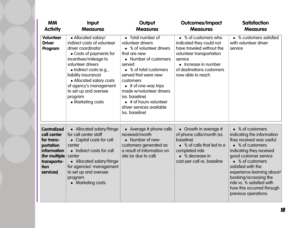| <b>MM</b><br><b>Activity</b>                                                                                                     | Input<br><b>Measures</b>                                                                                                                                                                                                                                                                                            | Output<br><b>Measures</b>                                                                                                                                                                                                                                                                                                                           | <b>Outcomes/Impact</b><br><b>Measures</b>                                                                                                                                                      | <b>Satisfaction</b><br><b>Measures</b>                                                                                                                                                                                                                                                                                              |
|----------------------------------------------------------------------------------------------------------------------------------|---------------------------------------------------------------------------------------------------------------------------------------------------------------------------------------------------------------------------------------------------------------------------------------------------------------------|-----------------------------------------------------------------------------------------------------------------------------------------------------------------------------------------------------------------------------------------------------------------------------------------------------------------------------------------------------|------------------------------------------------------------------------------------------------------------------------------------------------------------------------------------------------|-------------------------------------------------------------------------------------------------------------------------------------------------------------------------------------------------------------------------------------------------------------------------------------------------------------------------------------|
| Volunteer<br><b>Driver</b><br>Program                                                                                            | • Allocated salary/<br>indirect costs of volunteer<br>driver coordinator<br>• Costs of payments for<br>incentives/mileage to<br>volunteer drivers<br>• Indirect costs (e.g.,<br>liability insurance)<br>• Allocated salary costs<br>of agency's management<br>to set up and oversee<br>program<br>• Marketing costs | • Total number of<br>volunteer drivers<br>• % of volunteer drivers<br>that are new<br>• Number of customers<br>served<br>• % of total customers<br>served that were new<br>customers<br>$\bullet$ # of one-way trips<br>made w/volunteer drivers<br>(vs. baseline)<br>$\bullet$ # of hours volunteer<br>driver services available<br>(vs. baseline) | • % of customers who<br>indicated they could not<br>have traveled without the<br>volunteer transportation<br>service<br>• Increase in number<br>of destinations customers<br>now able to reach | • % customers satisfied<br>with volunteer driver<br>service                                                                                                                                                                                                                                                                         |
| <b>Centralized</b><br>call center<br>for trans-<br>portation<br>information<br>(for multiple<br>transporta-<br>tion<br>services) | • Allocated salary/fringe<br>for call center staff<br>• Capital costs for call<br>center<br>• Indirect costs for call<br>center<br>• Allocated salary/fringe<br>for agencies' management<br>to set up and oversee<br>program<br>• Marketing costs                                                                   | • Average # phone calls<br>received/month<br>• Number of new<br>customers generated as<br>a result of information on<br>site (or due to call)                                                                                                                                                                                                       | • Growth in average #<br>of phone calls/month (vs.<br>baseline)<br>• % of calls that led to a<br>completed ride<br>• % decrease in<br>cost-per-call vs. baseline                               | • % of customers<br>indicating the information<br>they received was useful<br>• % of customers<br>indicating they received<br>good customer service<br>% of customers<br>satisfied with the<br>experience learning about/<br>booking/accessing the<br>ride vs. % satisfied with<br>how this occurred through<br>previous operations |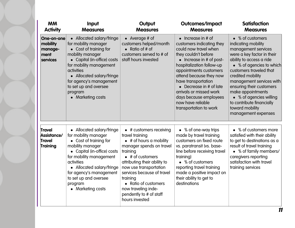| <b>MM</b><br><b>Activity</b>                          | Input<br><b>Measures</b>                                                                                                                                                                                                                                                                      | Output<br><b>Measures</b>                                                                                                                                                                                                                                                                                                                                 | <b>Outcomes/Impact</b><br><b>Measures</b>                                                                                                                                                                                                                                                                                                                                          | <b>Satisfaction</b><br><b>Measures</b>                                                                                                                                                                                                                                                                                                                                              |
|-------------------------------------------------------|-----------------------------------------------------------------------------------------------------------------------------------------------------------------------------------------------------------------------------------------------------------------------------------------------|-----------------------------------------------------------------------------------------------------------------------------------------------------------------------------------------------------------------------------------------------------------------------------------------------------------------------------------------------------------|------------------------------------------------------------------------------------------------------------------------------------------------------------------------------------------------------------------------------------------------------------------------------------------------------------------------------------------------------------------------------------|-------------------------------------------------------------------------------------------------------------------------------------------------------------------------------------------------------------------------------------------------------------------------------------------------------------------------------------------------------------------------------------|
| One-on-one<br>mobility<br>manage-<br>ment<br>services | • Allocated salary/fringe<br>for mobility manager<br>• Cost of training for<br>mobility manager<br>• Capital (in-office) costs<br>for mobility management<br><b>activities</b><br>Allocated salary/fringe<br>for agency's management<br>to set up and oversee<br>program<br>• Marketing costs | • Average # of<br>customers helped/month<br>• Ratio of # of<br>customers served to # of<br>staff hours invested                                                                                                                                                                                                                                           | $\bullet$ Increase in # of<br>customers indicating they<br>could now travel when<br>they couldn't before<br>$\bullet$ Increase in # of post-<br>hospitalization follow-up<br>appointments customers<br>attend because they now<br>have transportation<br>Decrease in # of late<br>arrivals or missed work<br>days because employees<br>now have reliable<br>transportation to work | • % of customers<br>indicating mobility<br>management services<br>were a key factor in their<br>ability to access a ride<br>• % of agencies to which<br>customers traveled that<br>credited mobility<br>management services with<br>ensuring their customers<br>make appointments<br>• % of agencies willing<br>to contribute financially<br>toward mobility<br>management expenses |
| Travel<br>Assistance/<br>Travel<br>Training           | • Allocated salary/fringe<br>for mobility manager<br>Cost of training for<br>mobility manager<br>Capital (in-office) costs<br>for mobility management<br>activities<br>• Allocated salary/fringe<br>for agency's management<br>to set up and oversee<br>program<br>• Marketing costs          | $\bullet$ # customers receiving<br>travel training<br>$\bullet$ # of hours a mobility<br>manager spends on travel<br>training<br>$\bullet$ # of customers<br>attributing their ability to<br>now use transportation<br>services because of travel<br>training<br>• Ratio of customers<br>now traveling inde-<br>pendently to # of staff<br>hours invested | • % of one-way trips<br>made by travel training<br>customers on fixed route<br>vs. paratransit (vs. base-<br>line before receiving travel<br>training)<br>• % of customers<br>reporting travel training<br>made a positive impact on<br>their ability to get to<br>destinations                                                                                                    | • % of customers more<br>satisfied with their ability<br>to get to destinations as a<br>result of travel training<br>• % of family members/<br>caregivers reporting<br>satisfaction with travel<br>training services                                                                                                                                                                |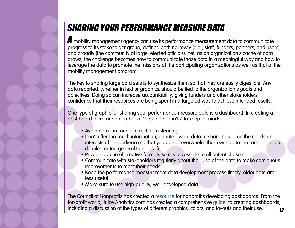# SHARING YOUR PERFORMANCE MEASURE DATA

A mobility management agency can use its performance measurement data to communicate progress to its stakeholder group, defined both narrowly (e.g., staff, funders, partners, end users) and broadly (the community at large, elected officials). Yet, as an organization's cache of data grows, the challenge becomes how to communicate those data in a meaningful way and how to leverage the data to promote the missions of the participating organizations as well as that of the mobility management program.

The key to sharing large data sets is to synthesize them so that they are easily digestible. Any data reported, whether in text or graphics, should be tied to the organization's goals and objectives. Doing so can increase accountability, giving funders and other stakeholders confidence that their resources are being spent in a targeted way to achieve intended results.

One type of graphic for sharing your performance measure data is a dashboard. In creating a dashboard there are a number of "dos" and "don'ts" to keep in mind:

- Avoid data that are incorrect or misleading.
- Don't offer too much information; prioritize what data to share based on the needs and interests of the audience so that you do not overwhelm them with data that are either too detailed or too general to be useful.
- Provide data in alternative formats so it is accessible to all potential users.
- Communicate with stakeholders regularly about their use of the data to make continuous improvements to meet their needs.
- Keep the performance measurement data development process timely; older data are less useful.
- Make sure to use high-quality, well-developed data.

The Council of Nonprofits has created a [resource](https://www.councilofnonprofits.org/tools-resources/dashboards-nonprofits ) for nonprofits developing dashboards. From the for-profit world, Juice Analytics.com has created a comprehensive [guide](http://www.juiceanalytics.com/white-papers-guides-and-more/) to creating dashboards, including a discussion of the types of different graphics, colors, and layouts and their use.